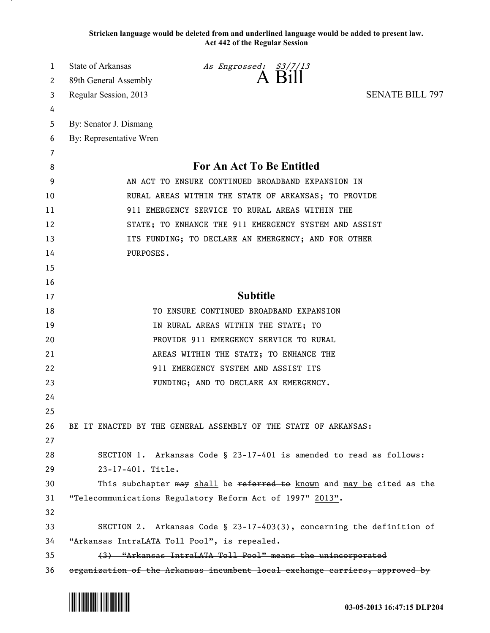**Stricken language would be deleted from and underlined language would be added to present law. Act 442 of the Regular Session**

| 1      | State of Arkansas                            | As Engrossed: S3/7/13<br>A Bill                                             |                        |
|--------|----------------------------------------------|-----------------------------------------------------------------------------|------------------------|
| 2      | 89th General Assembly                        |                                                                             | <b>SENATE BILL 797</b> |
| 3      | Regular Session, 2013                        |                                                                             |                        |
| 4<br>5 | By: Senator J. Dismang                       |                                                                             |                        |
| 6      | By: Representative Wren                      |                                                                             |                        |
| 7      |                                              |                                                                             |                        |
| 8      |                                              | For An Act To Be Entitled                                                   |                        |
| 9      |                                              | AN ACT TO ENSURE CONTINUED BROADBAND EXPANSION IN                           |                        |
| 10     |                                              | RURAL AREAS WITHIN THE STATE OF ARKANSAS; TO PROVIDE                        |                        |
| 11     |                                              | 911 EMERGENCY SERVICE TO RURAL AREAS WITHIN THE                             |                        |
| 12     |                                              | STATE; TO ENHANCE THE 911 EMERGENCY SYSTEM AND ASSIST                       |                        |
| 13     |                                              | ITS FUNDING; TO DECLARE AN EMERGENCY; AND FOR OTHER                         |                        |
| 14     | PURPOSES.                                    |                                                                             |                        |
| 15     |                                              |                                                                             |                        |
| 16     |                                              |                                                                             |                        |
| 17     |                                              | <b>Subtitle</b>                                                             |                        |
| 18     |                                              | TO ENSURE CONTINUED BROADBAND EXPANSION                                     |                        |
| 19     |                                              | IN RURAL AREAS WITHIN THE STATE; TO                                         |                        |
| 20     |                                              | PROVIDE 911 EMERGENCY SERVICE TO RURAL                                      |                        |
| 21     |                                              | AREAS WITHIN THE STATE; TO ENHANCE THE                                      |                        |
| 22     |                                              | 911 EMERGENCY SYSTEM AND ASSIST ITS                                         |                        |
| 23     |                                              | FUNDING; AND TO DECLARE AN EMERGENCY.                                       |                        |
| 24     |                                              |                                                                             |                        |
| 25     |                                              |                                                                             |                        |
| 26     |                                              | BE IT ENACTED BY THE GENERAL ASSEMBLY OF THE STATE OF ARKANSAS:             |                        |
| 27     |                                              |                                                                             |                        |
| 28     |                                              | SECTION 1. Arkansas Code § 23-17-401 is amended to read as follows:         |                        |
| 29     | 23-17-401. Title.                            |                                                                             |                        |
| 30     |                                              | This subchapter may shall be referred to known and may be cited as the      |                        |
| 31     |                                              | "Telecommunications Regulatory Reform Act of 1997" 2013".                   |                        |
| 32     |                                              |                                                                             |                        |
| 33     |                                              | SECTION 2. Arkansas Code § 23-17-403(3), concerning the definition of       |                        |
| 34     | "Arkansas IntraLATA Toll Pool", is repealed. |                                                                             |                        |
| 35     |                                              | (3) "Arkansas IntraLATA Toll Pool" means the unincorporated                 |                        |
| 36     |                                              | organization of the Arkansas incumbent local exchange carriers, approved by |                        |

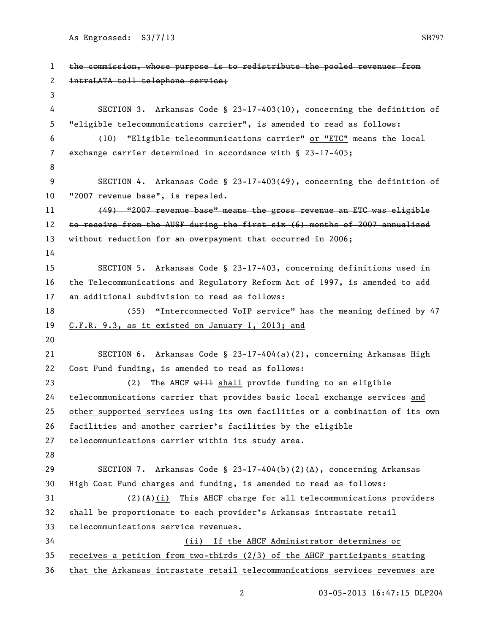```
1 the commission, whose purpose is to redistribute the pooled revenues from 
 2 intraLATA toll telephone service;
3
 4 SECTION 3. Arkansas Code § 23-17-403(10), concerning the definition of 
5 "eligible telecommunications carrier", is amended to read as follows:
6 (10) "Eligible telecommunications carrier" or "ETC" means the local 
7 exchange carrier determined in accordance with § 23-17-405;
8
9 SECTION 4. Arkansas Code § 23-17-403(49), concerning the definition of 
10 "2007 revenue base", is repealed.
11 (49) "2007 revenue base" means the gross revenue an ETC was eligible 
12 to receive from the AUSF during the first six (6) months of 2007 annualized
13 without reduction for an overpayment that occurred in 2006;
14
15 SECTION 5. Arkansas Code § 23-17-403, concerning definitions used in 
16 the Telecommunications and Regulatory Reform Act of 1997, is amended to add 
17 an additional subdivision to read as follows:
18 (55) "Interconnected VoIP service" has the meaning defined by 47 
19 C.F.R. 9.3, as it existed on January 1, 2013; and
20
21 SECTION 6. Arkansas Code § 23-17-404(a)(2), concerning Arkansas High 
22 Cost Fund funding, is amended to read as follows:
23 (2) The AHCF will shall provide funding to an eligible
24 telecommunications carrier that provides basic local exchange services and 
25 other supported services using its own facilities or a combination of its own 
26 facilities and another carrier's facilities by the eligible 
27 telecommunications carrier within its study area.
28
29 SECTION 7. Arkansas Code § 23-17-404(b)(2)(A), concerning Arkansas 
30 High Cost Fund charges and funding, is amended to read as follows:
31 (2)(A)(i) This AHCF charge for all telecommunications providers 
32 shall be proportionate to each provider's Arkansas intrastate retail 
33 telecommunications service revenues. 
34 (ii) If the AHCF Administrator determines or 
35 receives a petition from two-thirds (2/3) of the AHCF participants stating 
36 that the Arkansas intrastate retail telecommunications services revenues are
```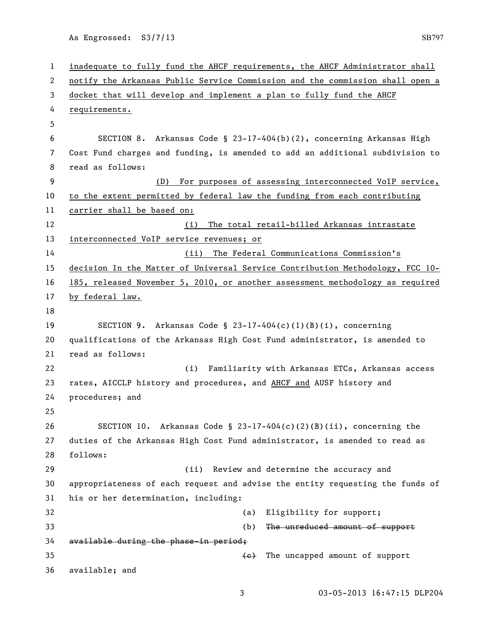```
1 inadequate to fully fund the AHCF requirements, the AHCF Administrator shall 
2 notify the Arkansas Public Service Commission and the commission shall open a 
3 docket that will develop and implement a plan to fully fund the AHCF 
4 requirements.
5
6 SECTION 8. Arkansas Code § 23-17-404(b)(2), concerning Arkansas High 
7 Cost Fund charges and funding, is amended to add an additional subdivision to 
8 read as follows:
9 (D) For purposes of assessing interconnected VoIP service, 
10 to the extent permitted by federal law the funding from each contributing 
11 carrier shall be based on:
12 (i) The total retail-billed Arkansas intrastate
13 interconnected VoIP service revenues; or
14 (ii) The Federal Communications Commission's 
15 decision In the Matter of Universal Service Contribution Methodology, FCC 10-
16 185, released November 5, 2010, or another assessment methodology as required 
17 by federal law.
18
19 SECTION 9. Arkansas Code § 23-17-404(c)(1)(B)(i), concerning 
20 qualifications of the Arkansas High Cost Fund administrator, is amended to 
21 read as follows:
22 (i) Familiarity with Arkansas ETCs, Arkansas access 
23 rates, AICCLP history and procedures, and AHCF and AUSF history and 
24 procedures; and
25
26 SECTION 10. Arkansas Code § 23-17-404(c)(2)(B)(ii), concerning the 
27 duties of the Arkansas High Cost Fund administrator, is amended to read as 
28 follows:
29 (ii) Review and determine the accuracy and 
30 appropriateness of each request and advise the entity requesting the funds of 
31 his or her determination, including:
32 (a) Eligibility for support;
33 (b) The unreduced amount of support 
34 available during the phase-in period;
35 (e) The uncapped amount of support
36 available; and
```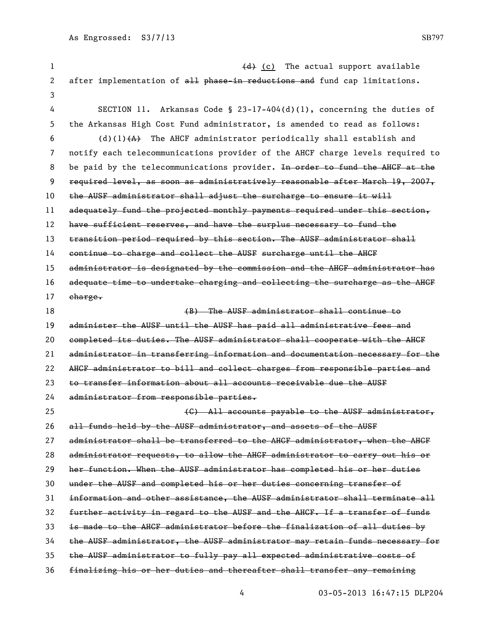| 1  | (d) (c) The actual support available                                          |
|----|-------------------------------------------------------------------------------|
| 2  | after implementation of all phase in reductions and fund cap limitations.     |
| 3  |                                                                               |
| 4  | Arkansas Code § 23-17-404(d)(1), concerning the duties of<br>SECTION 11.      |
| 5  | the Arkansas High Cost Fund administrator, is amended to read as follows:     |
| 6  | (d)(l) $\{A\}$ The AHCF administrator periodically shall establish and        |
| 7  | notify each telecommunications provider of the AHCF charge levels required to |
| 8  | be paid by the telecommunications provider. In order to fund the AHCF at the  |
| 9  | required level, as soon as administratively reasonable after March 19, 2007,  |
| 10 | the AUSF administrator shall adjust the surcharge to ensure it will           |
| 11 | adequately fund the projected monthly payments required under this section,   |
| 12 | have sufficient reserves, and have the surplus necessary to fund the          |
| 13 | transition period required by this section. The AUSF administrator shall      |
| 14 | continue to charge and collect the AUSF surcharge until the AHGF              |
| 15 | administrator is designated by the commission and the AHCF administrator has  |
| 16 | adequate time to undertake charging and collecting the surcharge as the AHGF  |
| 17 | charge.                                                                       |
| 18 | (B) The AUSF administrator shall continue to                                  |
| 19 | administer the AUSF until the AUSF has paid all administrative fees and       |
| 20 | completed its duties. The AUSF administrator shall cooperate with the AHCF    |
| 21 | administrator in transferring information and documentation necessary for the |
| 22 | AHGF administrator to bill and collect charges from responsible parties and   |
| 23 | to transfer information about all accounts receivable due the AUSF            |
| 24 | administrator from responsible parties.                                       |
| 25 | (C) All accounts payable to the AUSF administrator.                           |
| 26 | all funds held by the AUSF administrator, and assets of the AUSF              |
| 27 | administrator shall be transferred to the AHCF administrator, when the AHCF   |
| 28 | administrator requests, to allow the AHGF administrator to carry out his or   |
| 29 | her function. When the AUSF administrator has completed his or her duties     |
| 30 | under the AUSF and completed his or her duties concerning transfer of         |
| 31 | information and other assistance, the AUSF administrator shall terminate all  |
| 32 | further activity in regard to the AUSF and the AHCF. If a transfer of funds   |
| 33 | is made to the AHCF administrator before the finalization of all duties by    |
| 34 | the AUSF administrator, the AUSF administrator may retain funds necessary for |
| 35 | the AUSF administrator to fully pay all expected administrative costs of      |
| 36 | finalizing his or her duties and thereafter shall transfer any remaining      |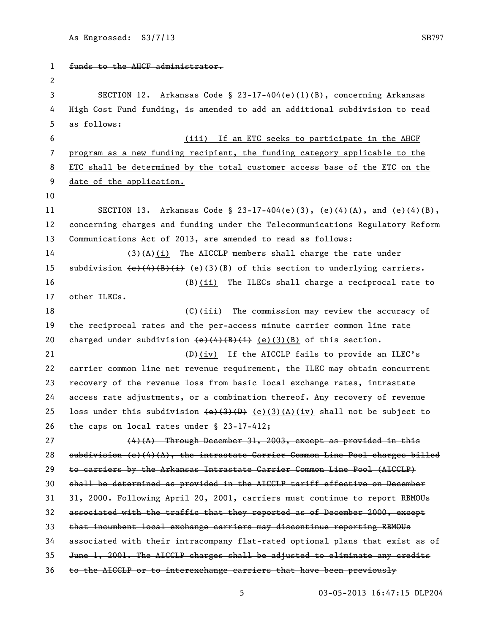| 1              | funds to the AHCF administrator.                                                                                                                                                                                                                                                                                                          |
|----------------|-------------------------------------------------------------------------------------------------------------------------------------------------------------------------------------------------------------------------------------------------------------------------------------------------------------------------------------------|
| $\overline{c}$ |                                                                                                                                                                                                                                                                                                                                           |
| 3              | SECTION 12. Arkansas Code § 23-17-404(e)(1)(B), concerning Arkansas                                                                                                                                                                                                                                                                       |
| 4              | High Cost Fund funding, is amended to add an additional subdivision to read                                                                                                                                                                                                                                                               |
| 5              | as follows:                                                                                                                                                                                                                                                                                                                               |
| 6              | (iii) If an ETC seeks to participate in the AHCF                                                                                                                                                                                                                                                                                          |
| 7              | program as a new funding recipient, the funding category applicable to the                                                                                                                                                                                                                                                                |
| 8              | ETC shall be determined by the total customer access base of the ETC on the                                                                                                                                                                                                                                                               |
| 9              | date of the application.                                                                                                                                                                                                                                                                                                                  |
| 10             |                                                                                                                                                                                                                                                                                                                                           |
| 11             | SECTION 13. Arkansas Code § 23-17-404(e)(3), (e)(4)(A), and (e)(4)(B),                                                                                                                                                                                                                                                                    |
| 12             | concerning charges and funding under the Telecommunications Regulatory Reform                                                                                                                                                                                                                                                             |
| 13             | Communications Act of 2013, are amended to read as follows:                                                                                                                                                                                                                                                                               |
| 14             | $(3)$ (A) $(i)$ The AICCLP members shall charge the rate under                                                                                                                                                                                                                                                                            |
| 15             | subdivision $(e)$ (4) $(B)$ (i) (e)(3)(B) of this section to underlying carriers.                                                                                                                                                                                                                                                         |
| 16             | $(B)$ (ii) The ILECs shall charge a reciprocal rate to                                                                                                                                                                                                                                                                                    |
| 17             | other ILECs.                                                                                                                                                                                                                                                                                                                              |
| 18             | (G)(iii) The commission may review the accuracy of                                                                                                                                                                                                                                                                                        |
| 19             | the reciprocal rates and the per-access minute carrier common line rate                                                                                                                                                                                                                                                                   |
| 20             | charged under subdivision $\left\{\frac{e}{4}, \frac{4}{8}, \frac{e}{2}\right\}$ (e)(3)(B) of this section.                                                                                                                                                                                                                               |
| 21             | $(D)$ (iv) If the AICCLP fails to provide an ILEC's                                                                                                                                                                                                                                                                                       |
| 22             | carrier common line net revenue requirement, the ILEC may obtain concurrent                                                                                                                                                                                                                                                               |
| 23             | recovery of the revenue loss from basic local exchange rates, intrastate                                                                                                                                                                                                                                                                  |
| 24             | access rate adjustments, or a combination thereof. Any recovery of revenue                                                                                                                                                                                                                                                                |
| 25             | loss under this subdivision $\left(\frac{e}{3}(1, 1) + \frac{e}{1}(3, 1) + \frac{e}{1}(1, 1) + \frac{e}{1}(1, 1) + \frac{e}{1}(1, 1) + \frac{e}{1}(1, 1) + \frac{e}{1}(1, 1) + \frac{e}{1}(1, 1) + \frac{e}{1}(1, 1) + \frac{e}{1}(1, 1) + \frac{e}{1}(1, 1) + \frac{e}{1}(1, 1) + \frac{e}{1}(1, 1) + \frac{e}{1}(1, 1) + \frac{e}{1}(1$ |
| 26             | the caps on local rates under $\S$ 23-17-412;                                                                                                                                                                                                                                                                                             |
| 27             | $(4)$ $(A)$ Through December 31, 2003, except as provided in this                                                                                                                                                                                                                                                                         |
| 28             | $subdivision (e) (4) (A)$ , the intrastate Carrier Common Line Pool charges billed                                                                                                                                                                                                                                                        |
| 29             | to carriers by the Arkansas Intrastate Carrier Common Line Pool (AICCLP)                                                                                                                                                                                                                                                                  |
| 30             | shall be determined as provided in the AIGGLP tariff effective on December                                                                                                                                                                                                                                                                |
| 31             | 31, 2000. Following April 20, 2001, carriers must continue to report RBMOUs                                                                                                                                                                                                                                                               |
| 32             | associated with the traffic that they reported as of December 2000, except                                                                                                                                                                                                                                                                |
| 33             | that incumbent local exchange carriers may discontinue reporting RBMOUs                                                                                                                                                                                                                                                                   |
| 34             | associated with their intracompany flat-rated optional plans that exist as of                                                                                                                                                                                                                                                             |
| 35             | June 1, 2001. The AIGGLP charges shall be adjusted to eliminate any credits                                                                                                                                                                                                                                                               |
| 36             | to the AICCLP or to interexchange carriers that have been previously                                                                                                                                                                                                                                                                      |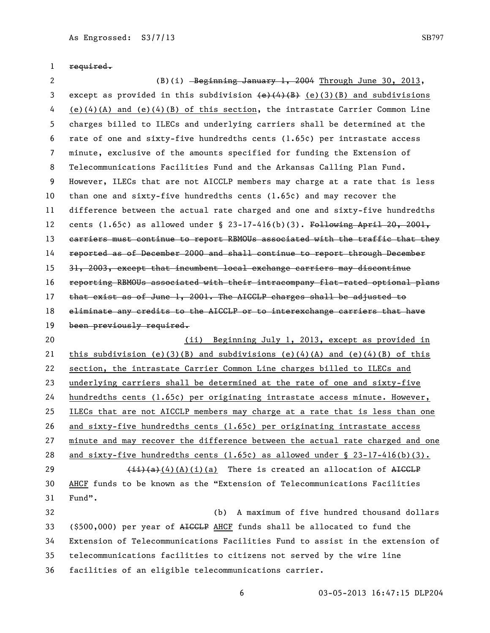required.

2 (B)(i) Beginning January 1, 2004 Through June 30, 2013, 3 except as provided in this subdivision  $\left(\frac{e}{4}\right)\left(\frac{B}{B}\right)$  (e)(3)(B) and subdivisions 4 (e)(4)(A) and (e)(4)(B) of this section, the intrastate Carrier Common Line charges billed to ILECs and underlying carriers shall be determined at the rate of one and sixty-five hundredths cents (1.65¢) per intrastate access minute, exclusive of the amounts specified for funding the Extension of Telecommunications Facilities Fund and the Arkansas Calling Plan Fund. However, ILECs that are not AICCLP members may charge at a rate that is less than one and sixty-five hundredths cents (1.65¢) and may recover the difference between the actual rate charged and one and sixty-five hundredths 12 cents (1.65 $c$ ) as allowed under § 23-17-416(b)(3). Following April 20, 2001, 13 carriers must continue to report RBMOUs associated with the traffic that they reported as of December 2000 and shall continue to report through December 31, 2003, except that incumbent local exchange carriers may discontinue reporting RBMOUs associated with their intracompany flat-rated optional plans 17 that exist as of June 1, 2001. The AICCLP charges shall be adjusted to 18 eliminate any credits to the AICCLP or to interexchange carriers that have 19 been previously required. (ii) Beginning July 1, 2013, except as provided in 21 this subdivision (e)(3)(B) and subdivisions (e)(4)(A) and (e)(4)(B) of this section, the intrastate Carrier Common Line charges billed to ILECs and underlying carriers shall be determined at the rate of one and sixty-five hundredths cents (1.65¢) per originating intrastate access minute. However, ILECs that are not AICCLP members may charge at a rate that is less than one and sixty-five hundredths cents (1.65¢) per originating intrastate access minute and may recover the difference between the actual rate charged and one 28 and sixty-five hundredths cents  $(1.65c)$  as allowed under § 23-17-416(b)(3).  $\left(\frac{1}{2}\right)\left(A\right)(A)(A)(i)(a)$  There is created an allocation of AICCLP AHCF funds to be known as the "Extension of Telecommunications Facilities Fund". (b) A maximum of five hundred thousand dollars (\$500,000) per year of AICCLP AHCF funds shall be allocated to fund the Extension of Telecommunications Facilities Fund to assist in the extension of telecommunications facilities to citizens not served by the wire line facilities of an eligible telecommunications carrier.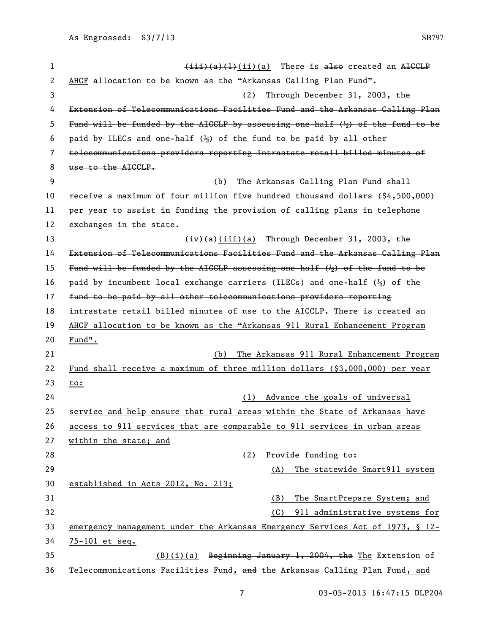| $\mathbf{1}$   | $\overline{(111)(a)(1)}$ (ii)(a) There is also created an AICCLP                          |
|----------------|-------------------------------------------------------------------------------------------|
| $\overline{c}$ | AHCF allocation to be known as the "Arkansas Calling Plan Fund".                          |
| 3              | (2) Through December 31, 2003, the                                                        |
| 4              | Extension of Telecommunications Facilities Fund and the Arkansas Calling Plan             |
| 5              | Fund will be funded by the AIGGLP by assessing one-half $(\frac{1}{2})$ of the fund to be |
| 6              | paid by ILECs and one-half $(\frac{1}{2})$ of the fund to be paid by all other            |
| 7              | telecommunications providers reporting intrastate retail billed minutes of                |
| 8              | use to the AICCLP.                                                                        |
| 9              | The Arkansas Calling Plan Fund shall<br>(b)                                               |
| 10             | receive a maximum of four million five hundred thousand dollars (\$4,500,000)             |
| 11             | per year to assist in funding the provision of calling plans in telephone                 |
| 12             | exchanges in the state.                                                                   |
| 13             | $\frac{div}{a}(iii)(a)$ Through December 31, 2003, the                                    |
| 14             | Extension of Telecommunications Facilities Fund and the Arkansas Calling Plan             |
| 15             | Fund will be funded by the AIGGLP assessing one-half $(\frac{1}{2})$ of the fund to be    |
| 16             | paid by incumbent local exchange carriers (ILECs) and one-half ( $\frac{1}{2}$ ) of the   |
| 17             | fund to be paid by all other telecommunications providers reporting                       |
| 18             | intrastate retail billed minutes of use to the AIGGLP. There is created an                |
| 19             | AHCF allocation to be known as the "Arkansas 911 Rural Enhancement Program                |
| 20             | $Fund$ .                                                                                  |
| 21             | The Arkansas 911 Rural Enhancement Program<br>(b)                                         |
| 22             | Fund shall receive a maximum of three million dollars (\$3,000,000) per year              |
| 23             | to:                                                                                       |
| 24             | (1) Advance the goals of universal                                                        |
| 25             | service and help ensure that rural areas within the State of Arkansas have                |
| 26             | access to 911 services that are comparable to 911 services in urban areas                 |
| 27             | within the state; and                                                                     |
| 28             | Provide funding to:<br>(2)                                                                |
| 29             | The statewide Smart911 system<br>(A)                                                      |
| 30             | established in Acts 2012, No. 213;                                                        |
| 31             | The SmartPrepare System; and<br>(B)                                                       |
| 32             | 911 administrative systems for<br>(C)                                                     |
| 33             | emergency management under the Arkansas Emergency Services Act of 1973, § 12-             |
| 34             | 75-101 et seq.                                                                            |
| 35             | $(B)(i)(a)$ Beginning January 1, 2004, the The Extension of                               |
| 36             | Telecommunications Facilities Fund, and the Arkansas Calling Plan Fund, and               |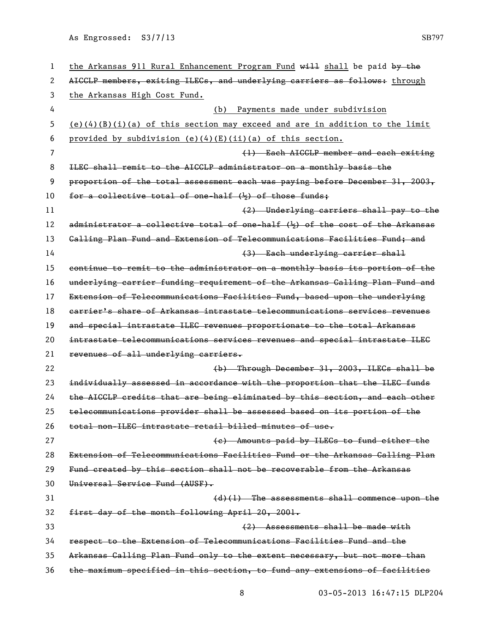| 1  | the Arkansas 911 Rural Enhancement Program Fund will shall be paid by the      |
|----|--------------------------------------------------------------------------------|
| 2  | AIGGLP members, exiting ILEGs, and underlying carriers as follows: through     |
| 3  | the Arkansas High Cost Fund.                                                   |
| 4  | Payments made under subdivision<br>(b)                                         |
| 5  | $(e)(4)(B)(i)(a)$ of this section may exceed and are in addition to the limit  |
| 6  | provided by subdivision (e)(4)(E)(ii)(a) of this section.                      |
| 7  | (1) Each AICCLP member and each exiting                                        |
| 8  | ILEC shall remit to the AICCLP administrator on a monthly basis the            |
| 9  | proportion of the total assessment each was paying before December 31, 2003,   |
| 10 | for a collective total of one-half $(\frac{1}{2})$ of those funds;             |
| 11 | (2) Underlying carriers shall pay to the                                       |
| 12 | administrator a collective total of one-half $(k)$ of the cost of the Arkansas |
| 13 | Galling Plan Fund and Extension of Telecommunications Facilities Fund; and     |
| 14 | (3) Each underlying carrier shall                                              |
| 15 | continue to remit to the administrator on a monthly basis its portion of the   |
| 16 | underlying carrier funding requirement of the Arkansas Galling Plan Fund and   |
| 17 | Extension of Telecommunications Facilities Fund, based upon the underlying     |
| 18 | carrier's share of Arkansas intrastate telecommunications services revenues    |
| 19 | and special intrastate ILEG revenues proportionate to the total Arkansas       |
| 20 | intrastate telecommunications services revenues and special intrastate ILEG    |
| 21 | revenues of all underlying carriers.                                           |
| 22 | (b) Through December 31, 2003, ILECs shall be                                  |
| 23 | individually assessed in accordance with the proportion that the ILEG funds    |
| 24 | the AICCLP credits that are being eliminated by this section, and each other   |
| 25 | telecommunications provider shall be assessed based on its portion of the      |
| 26 | total non-ILEC intrastate retail billed minutes of use.                        |
| 27 | (e) Amounts paid by ILECs to fund either the                                   |
| 28 | Extension of Telecommunications Facilities Fund or the Arkansas Calling Plan   |
| 29 | Fund created by this section shall not be recoverable from the Arkansas        |
| 30 | Universal Service Fund (AUSF).                                                 |
| 31 | $(d)(1)$ The assessments shall commence upon the                               |
| 32 | first day of the month following April 20, 2001.                               |
| 33 | (2) Assessments shall be made with                                             |
| 34 | respect to the Extension of Telecommunications Facilities Fund and the         |
| 35 | Arkansas Calling Plan Fund only to the extent necessary, but not more than     |
| 36 | the maximum specified in this section, to fund any extensions of facilities    |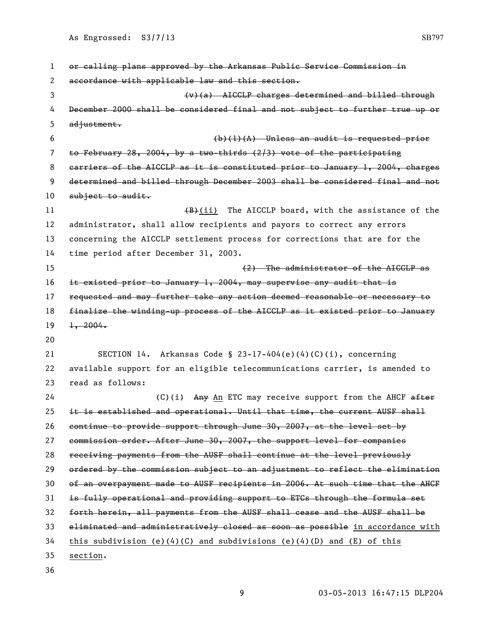| 1  | or calling plans approved by the Arkansas Public Service Commission in        |
|----|-------------------------------------------------------------------------------|
| 2  | accordance with applicable law and this section.                              |
| 3  | $(v)(a)$ AICCLP charges determined and billed through                         |
| 4  | December 2000 shall be considered final and not subject to further true up or |
| 5  | adjustment.                                                                   |
| 6  | $(b)(1)(A)$ Unless an audit is requested prior                                |
| 7  | to February 28, 2004, by a two-thirds $(2/3)$ vote of the participating       |
| 8  | earriers of the AICCLP as it is constituted prior to January 1, 2004, charges |
| 9  | determined and billed through December 2003 shall be considered final and not |
| 10 | $subject-to.$ and $it.$                                                       |
| 11 | $(B)$ (ii) The AICCLP board, with the assistance of the                       |
| 12 | administrator, shall allow recipients and payors to correct any errors        |
| 13 | concerning the AICCLP settlement process for corrections that are for the     |
| 14 | time period after December 31, 2003.                                          |
| 15 | (2) The administrator of the AICCLP as                                        |
| 16 | it existed prior to January 1, 2004, may supervise any audit that is          |
| 17 | requested and may further take any action deemed reasonable or necessary to   |
| 18 | finalize the winding-up process of the AICCLP as it existed prior to January  |
| 19 | $\frac{1}{2}$ , 2004.                                                         |
| 20 |                                                                               |
| 21 | SECTION 14. Arkansas Code § 23-17-404(e)(4)(C)(i), concerning                 |
| 22 | available support for an eligible telecommunications carrier, is amended to   |
| 23 | read as follows:                                                              |
| 24 | $(C)(i)$ Any An ETC may receive support from the AHCF after                   |
| 25 | it is established and operational. Until that time, the current AUSF shall    |
| 26 | continue to provide support through June 30, 2007, at the level set by        |
| 27 | commission order. After June 30, 2007, the support level for companies        |
| 28 | receiving payments from the AUSF shall continue at the level previously       |
| 29 | ordered by the commission subject to an adjustment to reflect the elimination |
| 30 | of an overpayment made to AUSF recipients in 2006. At such time that the AHGF |
| 31 | is fully operational and providing support to ETCs through the formula set    |
| 32 | forth herein, all payments from the AUSF shall cease and the AUSF shall be    |
| 33 | eliminated and administratively closed as soon as possible in accordance with |
| 34 | this subdivision (e)(4)(C) and subdivisions (e)(4)(D) and (E) of this         |
| 35 | section.                                                                      |
| 36 |                                                                               |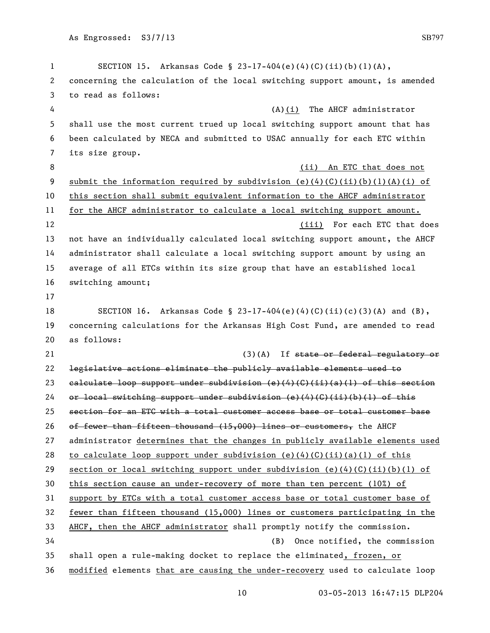SECTION 15. Arkansas Code § 23-17-404(e)(4)(C)(ii)(b)(1)(A), concerning the calculation of the local switching support amount, is amended to read as follows: 4 (A)(i) The AHCF administrator shall use the most current trued up local switching support amount that has been calculated by NECA and submitted to USAC annually for each ETC within its size group. 8 (ii) An ETC that does not 9 submit the information required by subdivision  $(e)(4)(C)(ii)(b)(1)(A)(i)$  of this section shall submit equivalent information to the AHCF administrator for the AHCF administrator to calculate a local switching support amount. (iii) For each ETC that does not have an individually calculated local switching support amount, the AHCF administrator shall calculate a local switching support amount by using an average of all ETCs within its size group that have an established local switching amount; SECTION 16. Arkansas Code § 23-17-404(e)(4)(C)(ii)(c)(3)(A) and (B), concerning calculations for the Arkansas High Cost Fund, are amended to read as follows: 21 (3)(A) If state or federal regulatory or legislative actions eliminate the publicly available elements used to calculate loop support under subdivision (e)(4)(C)(ii)(a)(1) of this section 24 or local switching support under subdivision (e)(4)(G)(ii)(b)(l) of this section for an ETC with a total customer access base or total customer base 26 of fewer than fifteen thousand  $(15,000)$  lines or customers, the AHCF administrator determines that the changes in publicly available elements used 28 to calculate loop support under subdivision (e)(4)(C)(ii)(a)(1) of this 29 section or local switching support under subdivision (e)(4)(C)(ii)(b)(1) of this section cause an under-recovery of more than ten percent (10%) of support by ETCs with a total customer access base or total customer base of fewer than fifteen thousand (15,000) lines or customers participating in the AHCF, then the AHCF administrator shall promptly notify the commission. (B) Once notified, the commission shall open a rule-making docket to replace the eliminated, frozen, or modified elements that are causing the under-recovery used to calculate loop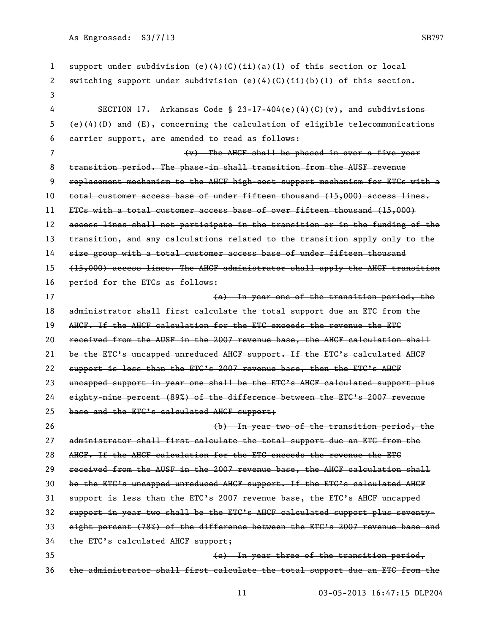| 1              | support under subdivision $(e)(4)(C)(ii)(a)(1)$ of this section or local          |
|----------------|-----------------------------------------------------------------------------------|
| 2              | switching support under subdivision $(e)(4)(C)(ii)(b)(1)$ of this section.        |
| 3              |                                                                                   |
| 4              | SECTION 17. Arkansas Code § 23-17-404(e)(4)(C)(v), and subdivisions               |
| 5              | $(e)(4)(D)$ and $(E)$ , concerning the calculation of eligible telecommunications |
| 6              | carrier support, are amended to read as follows:                                  |
| $\overline{7}$ | (v) The AHCF shall be phased in over a five-year                                  |
| 8              | transition period. The phase-in shall transition from the AUSF revenue            |
| 9              | replacement mechanism to the AHCF high cost support mechanism for ETCs with a     |
| 10             | total customer access base of under fifteen thousand (15,000) access lines.       |
| 11             | ETCs with a total customer access base of over fifteen thousand (15,000)          |
| 12             | access lines shall not participate in the transition or in the funding of the     |
| 13             | transition, and any calculations related to the transition apply only to the      |
| 14             | size group with a total customer access base of under fifteen thousand            |
| 15             | (15,000) access lines. The AHGF administrator shall apply the AHGF transition     |
| 16             | period for the ETCs as follows:                                                   |
| 17             | (a) In year one of the transition period, the                                     |
| 18             | administrator shall first calculate the total support due an ETG from the         |
| 19             | AHCF. If the AHCF calculation for the ETC exceeds the revenue the ETG             |
| 20             | received from the AUSF in the 2007 revenue base, the AHCF calculation shall       |
| 21             | be the ETC's uncapped unreduced AHCF support. If the ETC's calculated AHCF        |
| 22             | support is less than the ETC's 2007 revenue base, then the ETC's AHCF             |
| 23             | uncapped support in year one shall be the ETC's AHCF calculated support plus      |
| 24             | eighty-nine percent (89%) of the difference between the ETC's 2007 revenue        |
| 25             | base and the ETC's calculated AHCF support;                                       |
| 26             | (b) In year two of the transition period, the                                     |
| 27             | administrator shall first calculate the total support due an ETC from the         |
| 28             | AHCF. If the AHCF calculation for the ETC exceeds the revenue the ETG             |
| 29             | received from the AUSF in the 2007 revenue base, the AHCF calculation shall       |
| 30             | be the ETC's uncapped unreduced AHCF support. If the ETC's calculated AHCF        |
| 31             | support is less than the ETC's 2007 revenue base, the ETC's AHCF uncapped         |
| 32             | support in year two shall be the ETC's AHCF calculated support plus seventy-      |
| 33             | eight percent (78%) of the difference between the ETC's 2007 revenue base and     |
| 34             | the ETC's calculated AHCF support;                                                |
| 35             | (e) In year three of the transition period,                                       |
| 36             | the administrator shall first calculate the total support due an ETC from the     |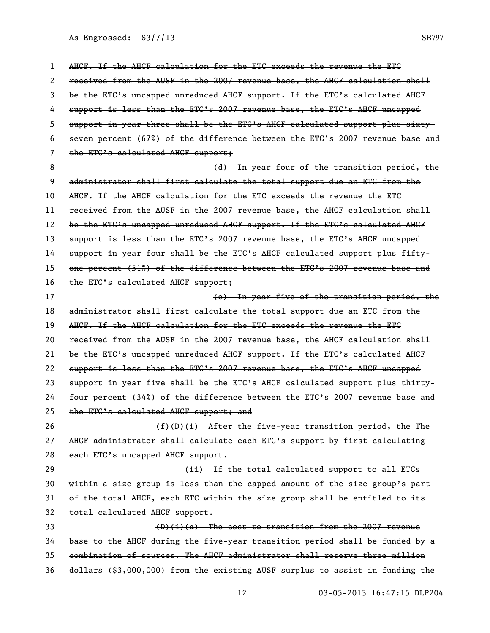AHCF. If the AHCF calculation for the ETC exceeds the revenue the ETC received from the AUSF in the 2007 revenue base, the AHCF calculation shall be the ETC's uncapped unreduced AHCF support. If the ETC's calculated AHCF 4 support is less than the ETC's 2007 revenue base, the ETC's AHCF uncapped support in year three shall be the ETC's AHCF calculated support plus sixty- seven percent (67%) of the difference between the ETC's 2007 revenue base and 7 the ETC's calculated AHCF support; 8 and the transition period, the transition period, the state of the transition period, the administrator shall first calculate the total support due an ETC from the 10 AHCF. If the AHCF calculation for the ETC exceeds the revenue the ETG received from the AUSF in the 2007 revenue base, the AHCF calculation shall 12 be the ETC's uncapped unreduced AHCF support. If the ETC's calculated AHCF 13 support is less than the ETC's 2007 revenue base, the ETC's AHCF uncapped support in year four shall be the ETC's AHCF calculated support plus fifty- one percent (51%) of the difference between the ETC's 2007 revenue base and 16 the ETC's calculated AHCF support; (e) In year five of the transition period, the administrator shall first calculate the total support due an ETC from the 19 AHCF. If the AHCF calculation for the ETC exceeds the revenue the ETG received from the AUSF in the 2007 revenue base, the AHCF calculation shall be the ETC's uncapped unreduced AHCF support. If the ETC's calculated AHCF 22 support is less than the ETC's 2007 revenue base, the ETC's AHCF uncapped support in year five shall be the ETC's AHCF calculated support plus thirty- four percent (34%) of the difference between the ETC's 2007 revenue base and 25 the ETC's calculated AHCF support; and  $(f+(D)(i)$  After the five-year transition period, the The AHCF administrator shall calculate each ETC's support by first calculating each ETC's uncapped AHCF support. (ii) If the total calculated support to all ETCs within a size group is less than the capped amount of the size group's part of the total AHCF, each ETC within the size group shall be entitled to its total calculated AHCF support.  $\left(\frac{D}{i}\right)(a)$  The cost to transition from the 2007 revenue base to the AHCF during the five-year transition period shall be funded by a combination of sources. The AHCF administrator shall reserve three million dollars (\$3,000,000) from the existing AUSF surplus to assist in funding the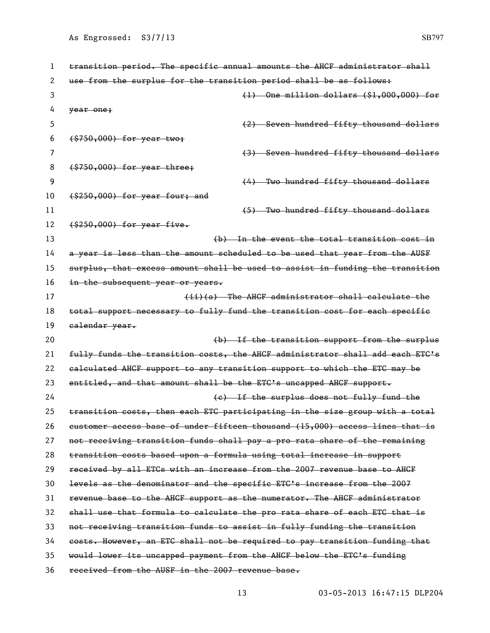| 1  | transition period. The specific annual amounts the AHCF administrator shall   |
|----|-------------------------------------------------------------------------------|
| 2  | use from the surplus for the transition period shall be as follows:           |
| 3  | $(1)$ One million dollars $(1,000,000)$ for                                   |
| 4  | year one;                                                                     |
| 5  | (2) Seven hundred fifty thousand dollars                                      |
| 6  | $( $750,000)$ for year two;                                                   |
| 7  | (3) Seven hundred fifty thousand dollars                                      |
| 8  | $(1, 1, 0, 0, 0, 0)$ for year three;                                          |
| 9  | (4) Two hundred fifty thousand dollars                                        |
| 10 | $($ \$250,000) for year four; and                                             |
| 11 | (5) Two hundred fifty thousand dollars                                        |
| 12 | $($ \$250,000) for year five.                                                 |
| 13 | (b) In the event the total transition cost in                                 |
| 14 | a year is less than the amount scheduled to be used that year from the AUSF   |
| 15 | surplus, that excess amount shall be used to assist in funding the transition |
| 16 | in the subsequent year or years.                                              |
| 17 | (ii)(a) The AHCF administrator shall calculate the                            |
| 18 | total support necessary to fully fund the transition cost for each specific   |
| 19 | ealendar year.                                                                |
| 20 | (b) If the transition support from the surplus                                |
| 21 | fully funds the transition costs, the AHGF administrator shall add each ETC's |
| 22 | calculated AHCF support to any transition support to which the ETC may be     |
| 23 | entitled, and that amount shall be the ETC's uncapped AHCF support.           |
| 24 | (e) If the surplus does not fully fund the                                    |
| 25 | transition costs, then each ETC participating in the size group with a total  |
| 26 | eustomer access base of under fifteen thousand (15,000) access lines that is  |
| 27 | not receiving transition funds shall pay a pro rata share of the remaining    |
| 28 | transition costs based upon a formula using total increase in support         |
| 29 | received by all ETCs with an increase from the 2007 revenue base to AHCF      |
| 30 | levels as the denominator and the specific ETC's increase from the 2007       |
| 31 | revenue base to the AHCF support as the numerator. The AHCF administrator     |
| 32 | shall use that formula to calculate the pro rata share of each ETC that is    |
| 33 | not receiving transition funds to assist in fully funding the transition      |
| 34 | costs. However, an ETC shall not be required to pay transition funding that   |
| 35 | would lower its uncapped payment from the AHCF below the ETC's funding        |
| 36 | received from the AUSF in the 2007 revenue base.                              |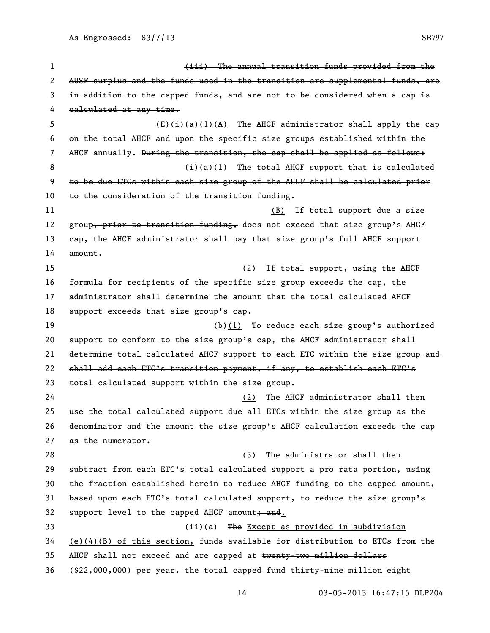(iii) The annual transition funds provided from the 2 AUSF surplus and the funds used in the transition are supplemental funds, are in addition to the capped funds, and are not to be considered when a cap is calculated at any time. (E)(i)(a)(1)(A) The AHCF administrator shall apply the cap on the total AHCF and upon the specific size groups established within the 7 AHCF annually. During the transition, the cap shall be applied as follows: 8 (i)(a)(1) The total AHCF support that is calculated to be due ETCs within each size group of the AHCF shall be calculated prior 10 to the consideration of the transition funding. 11 (B) If total support due a size 12 group, prior to transition funding, does not exceed that size group's AHCF cap, the AHCF administrator shall pay that size group's full AHCF support amount. 15 (2) If total support, using the AHCF formula for recipients of the specific size group exceeds the cap, the administrator shall determine the amount that the total calculated AHCF support exceeds that size group's cap. (b)(1) To reduce each size group's authorized support to conform to the size group's cap, the AHCF administrator shall 21 determine total calculated AHCF support to each ETC within the size group and shall add each ETC's transition payment, if any, to establish each ETC's total calculated support within the size group. (2) The AHCF administrator shall then use the total calculated support due all ETCs within the size group as the denominator and the amount the size group's AHCF calculation exceeds the cap as the numerator. 28 (3) The administrator shall then subtract from each ETC's total calculated support a pro rata portion, using the fraction established herein to reduce AHCF funding to the capped amount, based upon each ETC's total calculated support, to reduce the size group's 32 support level to the capped AHCF amount; and. (ii)(a) The Except as provided in subdivision (e)(4)(B) of this section, funds available for distribution to ETCs from the 35 AHCF shall not exceed and are capped at twenty-two million dollars (\$22,000,000) per year, the total capped fund thirty-nine million eight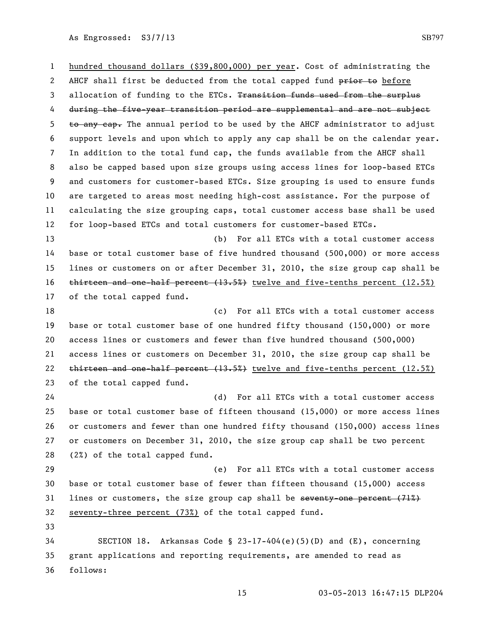hundred thousand dollars (\$39,800,000) per year. Cost of administrating the 2 AHCF shall first be deducted from the total capped fund prior to before 3 allocation of funding to the ETCs. Transition funds used from the surplus during the five-year transition period are supplemental and are not subject to any cap. The annual period to be used by the AHCF administrator to adjust support levels and upon which to apply any cap shall be on the calendar year. In addition to the total fund cap, the funds available from the AHCF shall also be capped based upon size groups using access lines for loop-based ETCs and customers for customer-based ETCs. Size grouping is used to ensure funds are targeted to areas most needing high-cost assistance. For the purpose of calculating the size grouping caps, total customer access base shall be used for loop-based ETCs and total customers for customer-based ETCs. (b) For all ETCs with a total customer access base or total customer base of five hundred thousand (500,000) or more access lines or customers on or after December 31, 2010, the size group cap shall be 16 thirteen and one-half percent  $(13.5%)$  twelve and five-tenths percent  $(12.5%)$  of the total capped fund. (c) For all ETCs with a total customer access base or total customer base of one hundred fifty thousand (150,000) or more access lines or customers and fewer than five hundred thousand (500,000) access lines or customers on December 31, 2010, the size group cap shall be 22 thirteen and one-half percent  $(13.5%)$  twelve and five-tenths percent  $(12.5%)$  of the total capped fund. (d) For all ETCs with a total customer access base or total customer base of fifteen thousand (15,000) or more access lines or customers and fewer than one hundred fifty thousand (150,000) access lines or customers on December 31, 2010, the size group cap shall be two percent (2%) of the total capped fund. (e) For all ETCs with a total customer access base or total customer base of fewer than fifteen thousand (15,000) access 31 lines or customers, the size group cap shall be seventy-one percent  $(71\%)$  seventy-three percent (73%) of the total capped fund. SECTION 18. Arkansas Code § 23-17-404(e)(5)(D) and (E), concerning grant applications and reporting requirements, are amended to read as follows: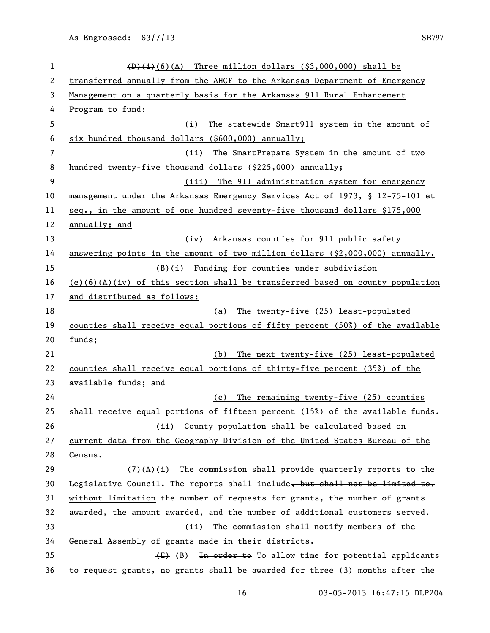| $\mathbf 1$ | $(D)$ (i)(6)(A) Three million dollars (\$3,000,000) shall be                    |
|-------------|---------------------------------------------------------------------------------|
| 2           | transferred annually from the AHCF to the Arkansas Department of Emergency      |
| 3           | Management on a quarterly basis for the Arkansas 911 Rural Enhancement          |
| 4           | Program to fund:                                                                |
| 5           | The statewide Smart911 system in the amount of<br>(i)                           |
| 6           | six hundred thousand dollars (\$600,000) annually;                              |
| 7           | The SmartPrepare System in the amount of two<br>(ii)                            |
| 8           | hundred twenty-five thousand dollars (\$225,000) annually;                      |
| 9           | (iii) The 911 administration system for emergency                               |
| 10          | management under the Arkansas Emergency Services Act of 1973, § 12-75-101 et    |
| 11          | seq., in the amount of one hundred seventy-five thousand dollars \$175,000      |
| 12          | annually; and                                                                   |
| 13          | (iv) Arkansas counties for 911 public safety                                    |
| 14          | answering points in the amount of two million dollars $( $2,000,000)$ annually. |
| 15          | (B)(i) Funding for counties under subdivision                                   |
| 16          | $(e)(6)(A)(iv)$ of this section shall be transferred based on county population |
| 17          | and distributed as follows:                                                     |
| 18          | The twenty-five (25) least-populated<br>(a)                                     |
| 19          | counties shall receive equal portions of fifty percent (50%) of the available   |
| 20          | $funds$ :                                                                       |
| 21          | The next twenty-five (25) least-populated<br>(b)                                |
| 22          | counties shall receive equal portions of thirty-five percent (35%) of the       |
| 23          | available funds; and                                                            |
| 24          | The remaining twenty-five (25) counties<br>(c)                                  |
| 25          | shall receive equal portions of fifteen percent (15%) of the available funds.   |
| 26          | (ii) County population shall be calculated based on                             |
| 27          | current data from the Geography Division of the United States Bureau of the     |
| 28          | Census.                                                                         |
| 29          | $(7)$ (A)(i) The commission shall provide quarterly reports to the              |
| 30          | Legislative Council. The reports shall include, but shall not be limited to,    |
| 31          | without limitation the number of requests for grants, the number of grants      |
| 32          | awarded, the amount awarded, and the number of additional customers served.     |
| 33          | The commission shall notify members of the<br>(ii)                              |
| 34          | General Assembly of grants made in their districts.                             |
| 35          | (E) (B) In order to To allow time for potential applicants                      |
| 36          | to request grants, no grants shall be awarded for three (3) months after the    |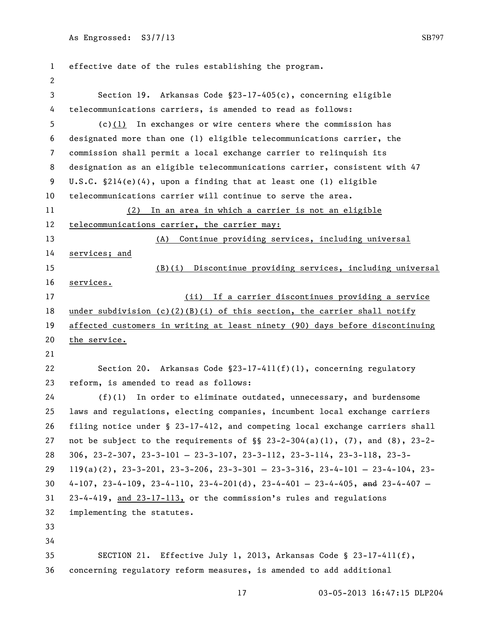| $\mathbf 1$    | effective date of the rules establishing the program.                                              |
|----------------|----------------------------------------------------------------------------------------------------|
| 2              |                                                                                                    |
| 3              | Section 19. Arkansas Code §23-17-405(c), concerning eligible                                       |
| 4              | telecommunications carriers, is amended to read as follows:                                        |
| 5              | $(c)(1)$ In exchanges or wire centers where the commission has                                     |
| 6              | designated more than one (1) eligible telecommunications carrier, the                              |
| $\overline{7}$ | commission shall permit a local exchange carrier to relinquish its                                 |
| 8              | designation as an eligible telecommunications carrier, consistent with 47                          |
| 9              | U.S.C. $$214(e)(4)$ , upon a finding that at least one (1) eligible                                |
| 10             | telecommunications carrier will continue to serve the area.                                        |
| 11             | (2) In an area in which a carrier is not an eligible                                               |
| 12             | telecommunications carrier, the carrier may:                                                       |
| 13             | (A) Continue providing services, including universal                                               |
| 14             | services; and                                                                                      |
| 15             | (B)(i) Discontinue providing services, including universal                                         |
| 16             | services.                                                                                          |
| 17             | (ii) If a carrier discontinues providing a service                                                 |
| 18             | under subdivision (c)(2)(B)(i) of this section, the carrier shall notify                           |
| 19             | affected customers in writing at least ninety (90) days before discontinuing                       |
| 20             | the service.                                                                                       |
| 21             |                                                                                                    |
| 22             | Section 20. Arkansas Code $\S23-17-411(f)(1)$ , concerning regulatory                              |
| 23             | reform, is amended to read as follows:                                                             |
| 24             | $(f)(1)$ In order to eliminate outdated, unnecessary, and burdensome                               |
| 25             | laws and regulations, electing companies, incumbent local exchange carriers                        |
| 26             | filing notice under § 23-17-412, and competing local exchange carriers shall                       |
| 27             | not be subject to the requirements of $\S$ 23-2-304(a)(1), (7), and (8), 23-2-                     |
| 28             | $306, 23-2-307, 23-3-101-23-3-107, 23-3-112, 23-3-114, 23-3-118, 23-3-$                            |
| 29             | $119(a)(2)$ , $23-3-201$ , $23-3-206$ , $23-3-301 - 23-3-316$ , $23-4-101 - 23-4-104$ , $23-4-104$ |
| 30             | $4-107$ , $23-4-109$ , $23-4-110$ , $23-4-201(d)$ , $23-4-401 - 23-4-405$ , and $23-4-407 -$       |
| 31             | 23-4-419, and 23-17-113, or the commission's rules and regulations                                 |
| 32             | implementing the statutes.                                                                         |
| 33             |                                                                                                    |
| 34             |                                                                                                    |
| 35             | SECTION 21. Effective July 1, 2013, Arkansas Code § 23-17-411(f),                                  |
| 36             | concerning regulatory reform measures, is amended to add additional                                |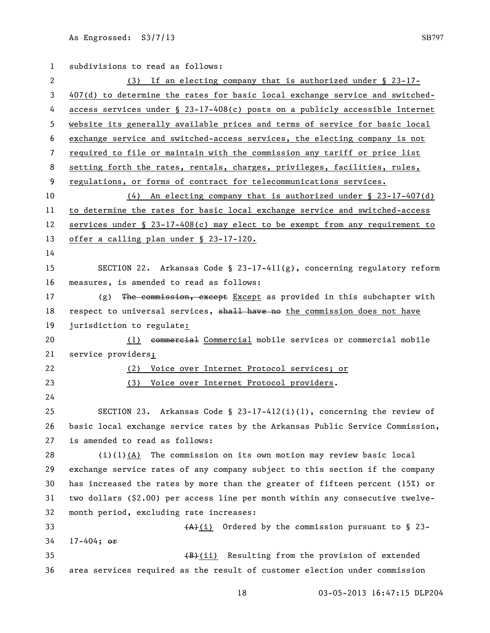subdivisions to read as follows: (3) If an electing company that is authorized under § 23-17- 407(d) to determine the rates for basic local exchange service and switched- access services under § 23-17-408(c) posts on a publicly accessible Internet website its generally available prices and terms of service for basic local exchange service and switched-access services, the electing company is not required to file or maintain with the commission any tariff or price list 8 setting forth the rates, rentals, charges, privileges, facilities, rules, regulations, or forms of contract for telecommunications services. (4) An electing company that is authorized under § 23-17-407(d) to determine the rates for basic local exchange service and switched-access services under § 23-17-408(c) may elect to be exempt from any requirement to offer a calling plan under § 23-17-120. SECTION 22. Arkansas Code § 23-17-411(g), concerning regulatory reform measures, is amended to read as follows: 17 (g) The commission, except Except as provided in this subchapter with 18 respect to universal services, shall have no the commission does not have 19 jurisdiction to regulate: (1) commercial Commercial mobile services or commercial mobile service providers; (2) Voice over Internet Protocol services; or (3) Voice over Internet Protocol providers. SECTION 23. Arkansas Code § 23-17-412(i)(1), concerning the review of basic local exchange service rates by the Arkansas Public Service Commission, is amended to read as follows:  $(i)(1)$  $(A)$  The commission on its own motion may review basic local exchange service rates of any company subject to this section if the company has increased the rates by more than the greater of fifteen percent (15%) or two dollars (\$2.00) per access line per month within any consecutive twelve- month period, excluding rate increases:  $(A)$  (i) Ordered by the commission pursuant to § 23- 17-404; or  $\left(\frac{B}{B}\right)(i)$  Resulting from the provision of extended area services required as the result of customer election under commission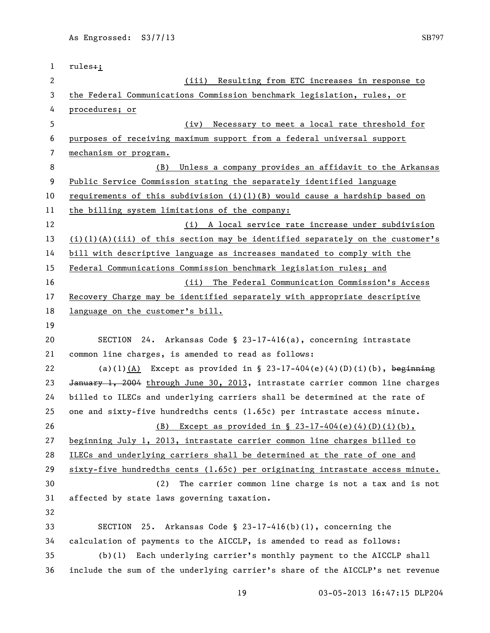| $\mathbf{1}$ | $rules + j$                                                                     |
|--------------|---------------------------------------------------------------------------------|
| 2            | Resulting from ETC increases in response to<br>(iii)                            |
| 3            | the Federal Communications Commission benchmark legislation, rules, or          |
| 4            | procedures; or                                                                  |
| 5            | Necessary to meet a local rate threshold for<br>(iv)                            |
| 6            | purposes of receiving maximum support from a federal universal support          |
| 7            | mechanism or program.                                                           |
| 8            | Unless a company provides an affidavit to the Arkansas<br>(B)                   |
| 9            | Public Service Commission stating the separately identified language            |
| 10           | requirements of this subdivision $(i)(1)(B)$ would cause a hardship based on    |
| 11           | the billing system limitations of the company:                                  |
| 12           | (i) A local service rate increase under subdivision                             |
| 13           | $(i)(1)(A)(iii)$ of this section may be identified separately on the customer's |
| 14           | bill with descriptive language as increases mandated to comply with the         |
| 15           | Federal Communications Commission benchmark legislation rules; and              |
| 16           | (ii) The Federal Communication Commission's Access                              |
| 17           | Recovery Charge may be identified separately with appropriate descriptive       |
| 18           | language on the customer's bill.                                                |
| 19           |                                                                                 |
| 20           | 24. Arkansas Code § 23-17-416(a), concerning intrastate<br>SECTION              |
| 21           | common line charges, is amended to read as follows:                             |
| 22           | (a)(1)(A) Except as provided in § 23-17-404(e)(4)(D)(i)(b), beginning           |
| 23           | January 1, 2004 through June 30, 2013, intrastate carrier common line charges   |
| 24           | billed to ILECs and underlying carriers shall be determined at the rate of      |
| 25           | one and sixty-five hundredths cents (1.65c) per intrastate access minute.       |
| 26           | (B) Except as provided in $\S$ 23-17-404(e)(4)(D)(i)(b),                        |
| 27           | beginning July 1, 2013, intrastate carrier common line charges billed to        |
| 28           | ILECs and underlying carriers shall be determined at the rate of one and        |
| 29           | $sixty-five hundredths cents (1.65c) per originating intractate access minute.$ |
| 30           | The carrier common line charge is not a tax and is not<br>(2)                   |
| 31           | affected by state laws governing taxation.                                      |
| 32           |                                                                                 |
| 33           | <b>SECTION</b><br>25. Arkansas Code § 23-17-416(b)(1), concerning the           |
| 34           | calculation of payments to the AICCLP, is amended to read as follows:           |
| 35           | Each underlying carrier's monthly payment to the AICCLP shall<br>(b)(1)         |
| 36           | include the sum of the underlying carrier's share of the AICCLP's net revenue   |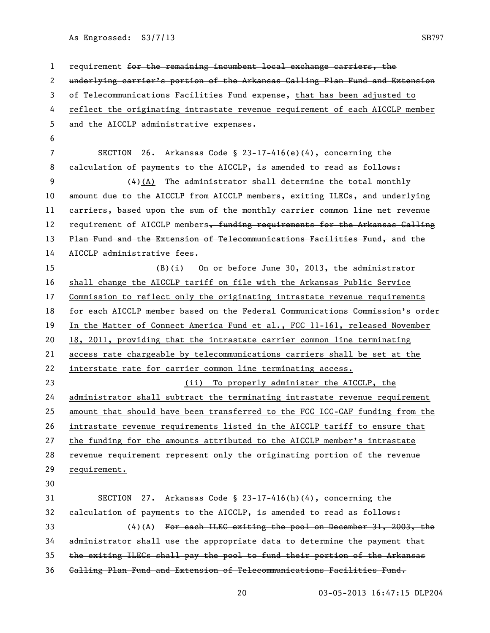| $\mathbf{1}$ | requirement for the remaining incumbent local exchange carriers, the              |
|--------------|-----------------------------------------------------------------------------------|
| 2            | underlying carrier's portion of the Arkansas Calling Plan Fund and Extension      |
| 3            | of Telecommunications Facilities Fund expense, that has been adjusted to          |
| 4            | reflect the originating intrastate revenue requirement of each AICCLP member      |
| 5            | and the AICCLP administrative expenses.                                           |
| 6            |                                                                                   |
| 7            | SECTION<br>26. Arkansas Code § 23-17-416(e)(4), concerning the                    |
| 8            | calculation of payments to the AICCLP, is amended to read as follows:             |
| 9            | $(4)$ (A) The administrator shall determine the total monthly                     |
| 10           | amount due to the AICCLP from AICCLP members, exiting ILECs, and underlying       |
| 11           | carriers, based upon the sum of the monthly carrier common line net revenue       |
| 12           | requirement of AICCLP members, funding requirements for the Arkansas Galling      |
| 13           | Plan Fund and the Extension of Telecommunications Facilities Fund, and the        |
| 14           | AICCLP administrative fees.                                                       |
| 15           | (B)(i) On or before June 30, 2013, the administrator                              |
| 16           | shall change the AICCLP tariff on file with the Arkansas Public Service           |
| 17           | <u>Commission to reflect only the originating intrastate revenue requirements</u> |
| 18           | for each AICCLP member based on the Federal Communications Commission's order     |
| 19           | In the Matter of Connect America Fund et al., FCC 11-161, released November       |
| 20           | 18, 2011, providing that the intrastate carrier common line terminating           |
| 21           | access rate chargeable by telecommunications carriers shall be set at the         |
| 22           | interstate rate for carrier common line terminating access.                       |
| 23           | (ii) To properly administer the AICCLP, the                                       |
| 24           | administrator shall subtract the terminating intrastate revenue requirement       |
| 25           | amount that should have been transferred to the FCC ICC-CAF funding from the      |
| 26           | intrastate revenue requirements listed in the AICCLP tariff to ensure that        |
| 27           | the funding for the amounts attributed to the AICCLP member's intrastate          |
| 28           | revenue requirement represent only the originating portion of the revenue         |
| 29           | requirement.                                                                      |
| 30           |                                                                                   |
| 31           | <b>SECTION</b><br>27. Arkansas Code § 23-17-416(h)(4), concerning the             |
| 32           | calculation of payments to the AICCLP, is amended to read as follows:             |
| 33           | $(4)$ (A) For each ILEG exiting the pool on December 31, 2003, the                |
| 34           | administrator shall use the appropriate data to determine the payment that        |
| 35           | the exiting ILEGs shall pay the pool to fund their portion of the Arkansas        |
| 36           | Galling Plan Fund and Extension of Telecommunications Facilities Fund.            |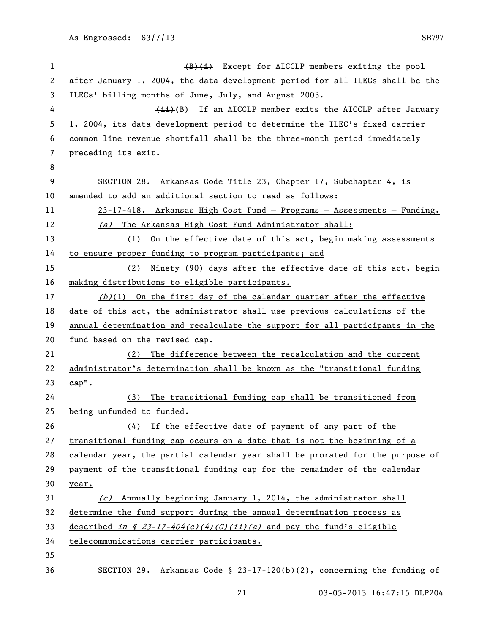1 (B)(i) Except for AICCLP members exiting the pool after January 1, 2004, the data development period for all ILECs shall be the ILECs' billing months of June, July, and August 2003. 4 (ii)(B) If an AICCLP member exits the AICCLP after January 1, 2004, its data development period to determine the ILEC's fixed carrier common line revenue shortfall shall be the three-month period immediately preceding its exit. SECTION 28. Arkansas Code Title 23, Chapter 17, Subchapter 4, is amended to add an additional section to read as follows: 23-17-418. Arkansas High Cost Fund — Programs — Assessments — Funding. 12 (a) The Arkansas High Cost Fund Administrator shall: (1) On the effective date of this act, begin making assessments to ensure proper funding to program participants; and (2) Ninety (90) days after the effective date of this act, begin making distributions to eligible participants.  $(b)(1)$  On the first day of the calendar quarter after the effective date of this act, the administrator shall use previous calculations of the annual determination and recalculate the support for all participants in the fund based on the revised cap. (2) The difference between the recalculation and the current administrator's determination shall be known as the "transitional funding cap". (3) The transitional funding cap shall be transitioned from being unfunded to funded. (4) If the effective date of payment of any part of the transitional funding cap occurs on a date that is not the beginning of a calendar year, the partial calendar year shall be prorated for the purpose of payment of the transitional funding cap for the remainder of the calendar year. (c) Annually beginning January 1, 2014, the administrator shall determine the fund support during the annual determination process as 33 described in § 23-17-404(e)(4)(C)(ii)(a) and pay the fund's eligible telecommunications carrier participants. SECTION 29. Arkansas Code § 23-17-120(b)(2), concerning the funding of